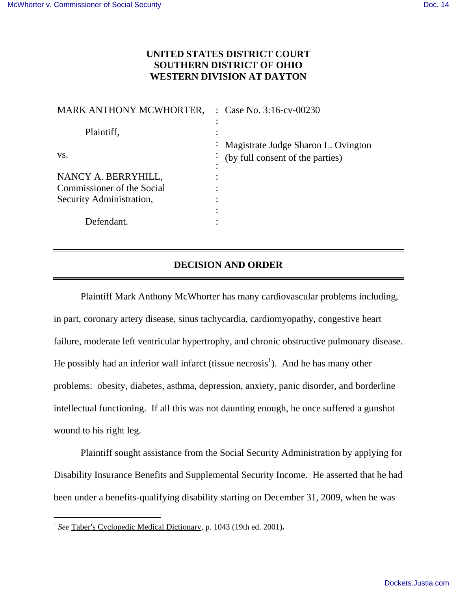## **UNITED STATES DISTRICT COURT SOUTHERN DISTRICT OF OHIO WESTERN DIVISION AT DAYTON**

| MARK ANTHONY MCWHORTER,    | : Case No. $3:16$ -cv-00230              |
|----------------------------|------------------------------------------|
| Plaintiff,                 |                                          |
|                            | : Magistrate Judge Sharon L. Ovington    |
| VS.                        | $\cdot$ (by full consent of the parties) |
| NANCY A. BERRYHILL,        |                                          |
| Commissioner of the Social |                                          |
| Security Administration,   |                                          |
|                            |                                          |
| Defendant.                 |                                          |
|                            |                                          |

## **DECISION AND ORDER**

Plaintiff Mark Anthony McWhorter has many cardiovascular problems including, in part, coronary artery disease, sinus tachycardia, cardiomyopathy, congestive heart failure, moderate left ventricular hypertrophy, and chronic obstructive pulmonary disease. He possibly had an inferior wall infarct (tissue necrosis<sup>1</sup>). And he has many other problems: obesity, diabetes, asthma, depression, anxiety, panic disorder, and borderline intellectual functioning. If all this was not daunting enough, he once suffered a gunshot wound to his right leg.

Plaintiff sought assistance from the Social Security Administration by applying for Disability Insurance Benefits and Supplemental Security Income. He asserted that he had been under a benefits-qualifying disability starting on December 31, 2009, when he was

 $\overline{a}$ 

<sup>&</sup>lt;sup>1</sup> See Taber's Cyclopedic Medical Dictionary, p. 1043 (19th ed. 2001).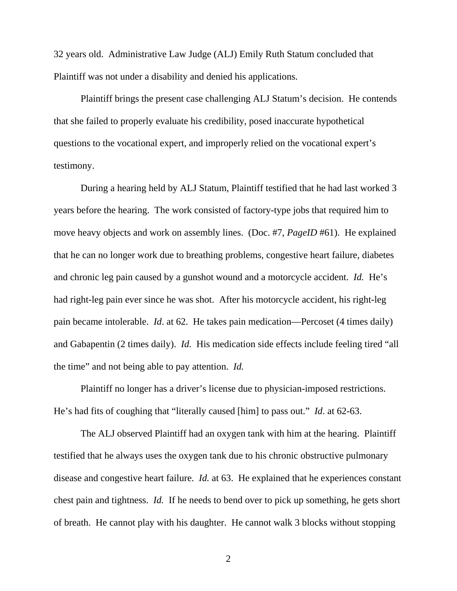32 years old. Administrative Law Judge (ALJ) Emily Ruth Statum concluded that Plaintiff was not under a disability and denied his applications.

Plaintiff brings the present case challenging ALJ Statum's decision. He contends that she failed to properly evaluate his credibility, posed inaccurate hypothetical questions to the vocational expert, and improperly relied on the vocational expert's testimony.

 During a hearing held by ALJ Statum, Plaintiff testified that he had last worked 3 years before the hearing. The work consisted of factory-type jobs that required him to move heavy objects and work on assembly lines. (Doc. #7, *PageID* #61). He explained that he can no longer work due to breathing problems, congestive heart failure, diabetes and chronic leg pain caused by a gunshot wound and a motorcycle accident. *Id.* He's had right-leg pain ever since he was shot. After his motorcycle accident, his right-leg pain became intolerable. *Id*. at 62. He takes pain medication—Percoset (4 times daily) and Gabapentin (2 times daily). *Id.* His medication side effects include feeling tired "all the time" and not being able to pay attention. *Id.*

Plaintiff no longer has a driver's license due to physician-imposed restrictions. He's had fits of coughing that "literally caused [him] to pass out." *Id*. at 62-63.

The ALJ observed Plaintiff had an oxygen tank with him at the hearing. Plaintiff testified that he always uses the oxygen tank due to his chronic obstructive pulmonary disease and congestive heart failure. *Id.* at 63. He explained that he experiences constant chest pain and tightness. *Id.* If he needs to bend over to pick up something, he gets short of breath. He cannot play with his daughter. He cannot walk 3 blocks without stopping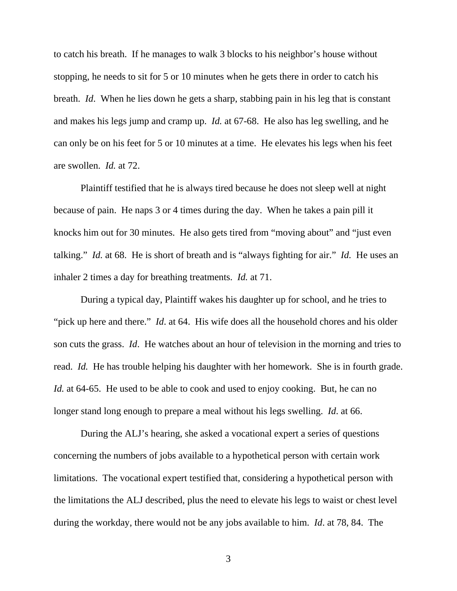to catch his breath. If he manages to walk 3 blocks to his neighbor's house without stopping, he needs to sit for 5 or 10 minutes when he gets there in order to catch his breath. *Id*. When he lies down he gets a sharp, stabbing pain in his leg that is constant and makes his legs jump and cramp up. *Id.* at 67-68. He also has leg swelling, and he can only be on his feet for 5 or 10 minutes at a time. He elevates his legs when his feet are swollen. *Id.* at 72.

Plaintiff testified that he is always tired because he does not sleep well at night because of pain. He naps 3 or 4 times during the day. When he takes a pain pill it knocks him out for 30 minutes. He also gets tired from "moving about" and "just even talking." *Id.* at 68. He is short of breath and is "always fighting for air." *Id.* He uses an inhaler 2 times a day for breathing treatments. *Id.* at 71.

During a typical day, Plaintiff wakes his daughter up for school, and he tries to "pick up here and there." *Id.* at 64. His wife does all the household chores and his older son cuts the grass. *Id*. He watches about an hour of television in the morning and tries to read. *Id.* He has trouble helping his daughter with her homework. She is in fourth grade. *Id.* at 64-65. He used to be able to cook and used to enjoy cooking. But, he can no longer stand long enough to prepare a meal without his legs swelling. *Id*. at 66.

During the ALJ's hearing, she asked a vocational expert a series of questions concerning the numbers of jobs available to a hypothetical person with certain work limitations. The vocational expert testified that, considering a hypothetical person with the limitations the ALJ described, plus the need to elevate his legs to waist or chest level during the workday, there would not be any jobs available to him. *Id*. at 78, 84. The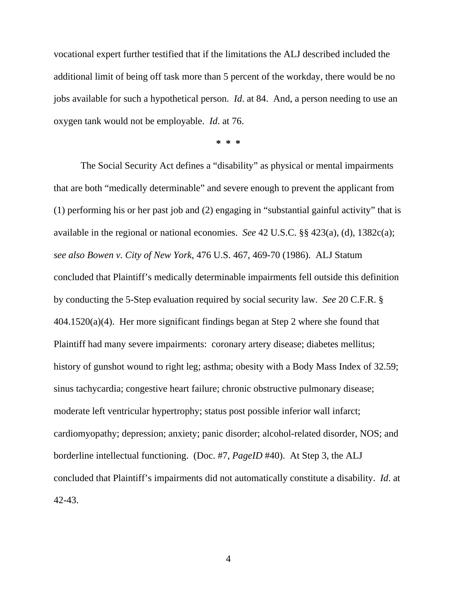vocational expert further testified that if the limitations the ALJ described included the additional limit of being off task more than 5 percent of the workday, there would be no jobs available for such a hypothetical person. *Id*. at 84. And, a person needing to use an oxygen tank would not be employable. *Id*. at 76.

**\* \* \*** 

The Social Security Act defines a "disability" as physical or mental impairments that are both "medically determinable" and severe enough to prevent the applicant from (1) performing his or her past job and (2) engaging in "substantial gainful activity" that is available in the regional or national economies. *See* 42 U.S.C. §§ 423(a), (d), 1382c(a); *see also Bowen v. City of New York*, 476 U.S. 467, 469-70 (1986). ALJ Statum concluded that Plaintiff's medically determinable impairments fell outside this definition by conducting the 5-Step evaluation required by social security law. *See* 20 C.F.R. § 404.1520(a)(4). Her more significant findings began at Step 2 where she found that Plaintiff had many severe impairments: coronary artery disease; diabetes mellitus; history of gunshot wound to right leg; asthma; obesity with a Body Mass Index of 32.59; sinus tachycardia; congestive heart failure; chronic obstructive pulmonary disease; moderate left ventricular hypertrophy; status post possible inferior wall infarct; cardiomyopathy; depression; anxiety; panic disorder; alcohol-related disorder, NOS; and borderline intellectual functioning. (Doc. #7, *PageID* #40). At Step 3, the ALJ concluded that Plaintiff's impairments did not automatically constitute a disability. *Id*. at 42-43.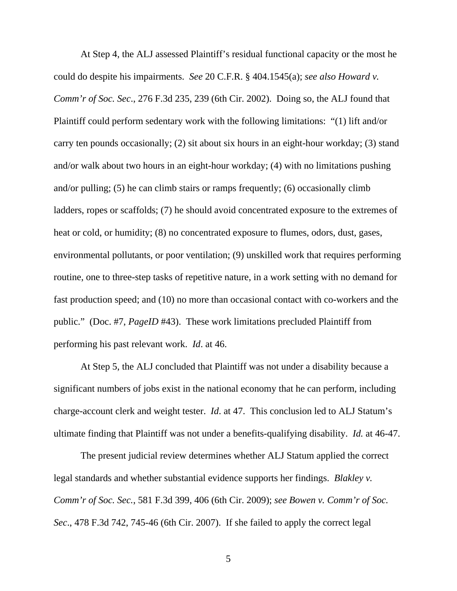At Step 4, the ALJ assessed Plaintiff's residual functional capacity or the most he could do despite his impairments. *See* 20 C.F.R. § 404.1545(a); *see also Howard v. Comm'r of Soc. Sec*., 276 F.3d 235, 239 (6th Cir. 2002). Doing so, the ALJ found that Plaintiff could perform sedentary work with the following limitations: "(1) lift and/or carry ten pounds occasionally; (2) sit about six hours in an eight-hour workday; (3) stand and/or walk about two hours in an eight-hour workday; (4) with no limitations pushing and/or pulling; (5) he can climb stairs or ramps frequently; (6) occasionally climb ladders, ropes or scaffolds; (7) he should avoid concentrated exposure to the extremes of heat or cold, or humidity; (8) no concentrated exposure to flumes, odors, dust, gases, environmental pollutants, or poor ventilation; (9) unskilled work that requires performing routine, one to three-step tasks of repetitive nature, in a work setting with no demand for fast production speed; and (10) no more than occasional contact with co-workers and the public." (Doc. #7, *PageID* #43). These work limitations precluded Plaintiff from performing his past relevant work. *Id*. at 46.

 At Step 5, the ALJ concluded that Plaintiff was not under a disability because a significant numbers of jobs exist in the national economy that he can perform, including charge-account clerk and weight tester. *Id*. at 47. This conclusion led to ALJ Statum's ultimate finding that Plaintiff was not under a benefits-qualifying disability. *Id.* at 46-47.

 The present judicial review determines whether ALJ Statum applied the correct legal standards and whether substantial evidence supports her findings. *Blakley v. Comm'r of Soc. Sec.*, 581 F.3d 399, 406 (6th Cir. 2009); *see Bowen v. Comm'r of Soc. Sec*., 478 F.3d 742, 745-46 (6th Cir. 2007). If she failed to apply the correct legal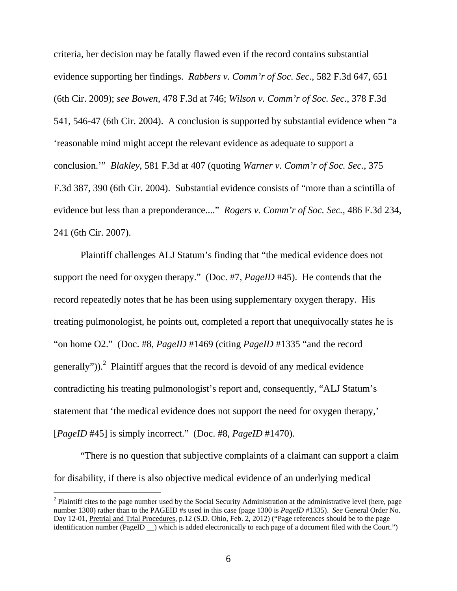criteria, her decision may be fatally flawed even if the record contains substantial evidence supporting her findings. *Rabbers v. Comm'r of Soc. Sec.*, 582 F.3d 647, 651 (6th Cir. 2009); *see Bowen*, 478 F.3d at 746; *Wilson v. Comm'r of Soc. Sec.*, 378 F.3d 541, 546-47 (6th Cir. 2004). A conclusion is supported by substantial evidence when "a 'reasonable mind might accept the relevant evidence as adequate to support a conclusion.'" *Blakley*, 581 F.3d at 407 (quoting *Warner v. Comm'r of Soc. Sec.*, 375 F.3d 387, 390 (6th Cir. 2004). Substantial evidence consists of "more than a scintilla of evidence but less than a preponderance...." *Rogers v. Comm'r of Soc. Sec.*, 486 F.3d 234, 241 (6th Cir. 2007).

Plaintiff challenges ALJ Statum's finding that "the medical evidence does not support the need for oxygen therapy." (Doc. #7, *PageID* #45). He contends that the record repeatedly notes that he has been using supplementary oxygen therapy. His treating pulmonologist, he points out, completed a report that unequivocally states he is "on home O2." (Doc. #8, *PageID* #1469 (citing *PageID* #1335 "and the record generally")).<sup>2</sup> Plaintiff argues that the record is devoid of any medical evidence contradicting his treating pulmonologist's report and, consequently, "ALJ Statum's statement that 'the medical evidence does not support the need for oxygen therapy,' [*PageID* #45] is simply incorrect." (Doc. #8, *PageID* #1470).

"There is no question that subjective complaints of a claimant can support a claim for disability, if there is also objective medical evidence of an underlying medical

 $\overline{a}$ 

 $2$  Plaintiff cites to the page number used by the Social Security Administration at the administrative level (here, page number 1300) rather than to the PAGEID #s used in this case (page 1300 is *PageID* #1335). *See* General Order No. Day 12-01, Pretrial and Trial Procedures, p.12 (S.D. Ohio, Feb. 2, 2012) ("Page references should be to the page identification number (PageID \_\_) which is added electronically to each page of a document filed with the Court.")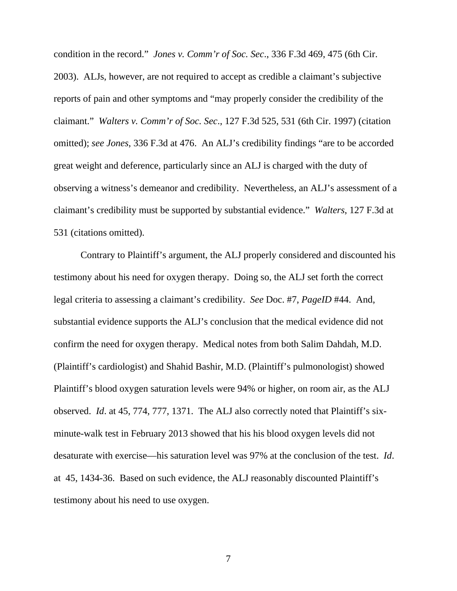condition in the record." *Jones v. Comm'r of Soc. Sec*., 336 F.3d 469, 475 (6th Cir. 2003). ALJs, however, are not required to accept as credible a claimant's subjective reports of pain and other symptoms and "may properly consider the credibility of the claimant." *Walters v. Comm'r of Soc. Sec*., 127 F.3d 525, 531 (6th Cir. 1997) (citation omitted); *see Jones*, 336 F.3d at 476. An ALJ's credibility findings "are to be accorded great weight and deference, particularly since an ALJ is charged with the duty of observing a witness's demeanor and credibility. Nevertheless, an ALJ's assessment of a claimant's credibility must be supported by substantial evidence." *Walters*, 127 F.3d at 531 (citations omitted).

Contrary to Plaintiff's argument, the ALJ properly considered and discounted his testimony about his need for oxygen therapy. Doing so, the ALJ set forth the correct legal criteria to assessing a claimant's credibility. *See* Doc. #7, *PageID* #44. And, substantial evidence supports the ALJ's conclusion that the medical evidence did not confirm the need for oxygen therapy. Medical notes from both Salim Dahdah, M.D. (Plaintiff's cardiologist) and Shahid Bashir, M.D. (Plaintiff's pulmonologist) showed Plaintiff's blood oxygen saturation levels were 94% or higher, on room air, as the ALJ observed. *Id*. at 45, 774, 777, 1371. The ALJ also correctly noted that Plaintiff's sixminute-walk test in February 2013 showed that his his blood oxygen levels did not desaturate with exercise—his saturation level was 97% at the conclusion of the test. *Id*. at 45, 1434-36. Based on such evidence, the ALJ reasonably discounted Plaintiff's testimony about his need to use oxygen.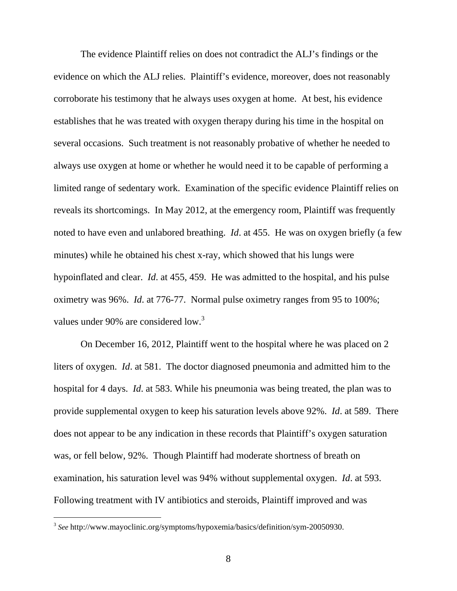The evidence Plaintiff relies on does not contradict the ALJ's findings or the evidence on which the ALJ relies. Plaintiff's evidence, moreover, does not reasonably corroborate his testimony that he always uses oxygen at home. At best, his evidence establishes that he was treated with oxygen therapy during his time in the hospital on several occasions. Such treatment is not reasonably probative of whether he needed to always use oxygen at home or whether he would need it to be capable of performing a limited range of sedentary work. Examination of the specific evidence Plaintiff relies on reveals its shortcomings. In May 2012, at the emergency room, Plaintiff was frequently noted to have even and unlabored breathing. *Id*. at 455. He was on oxygen briefly (a few minutes) while he obtained his chest x-ray, which showed that his lungs were hypoinflated and clear. *Id*. at 455, 459. He was admitted to the hospital, and his pulse oximetry was 96%. *Id*. at 776-77. Normal pulse oximetry ranges from 95 to 100%; values under 90% are considered low.<sup>3</sup>

 On December 16, 2012, Plaintiff went to the hospital where he was placed on 2 liters of oxygen. *Id*. at 581. The doctor diagnosed pneumonia and admitted him to the hospital for 4 days. *Id*. at 583. While his pneumonia was being treated, the plan was to provide supplemental oxygen to keep his saturation levels above 92%. *Id*. at 589. There does not appear to be any indication in these records that Plaintiff's oxygen saturation was, or fell below, 92%. Though Plaintiff had moderate shortness of breath on examination, his saturation level was 94% without supplemental oxygen. *Id*. at 593. Following treatment with IV antibiotics and steroids, Plaintiff improved and was

<sup>3</sup> *See* http://www.mayoclinic.org/symptoms/hypoxemia/basics/definition/sym-20050930.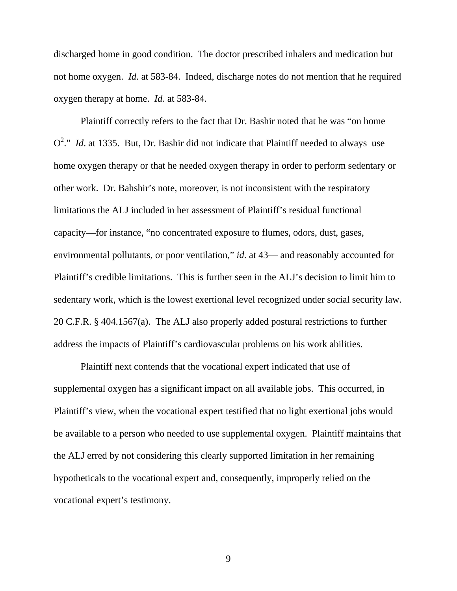discharged home in good condition. The doctor prescribed inhalers and medication but not home oxygen. *Id*. at 583-84. Indeed, discharge notes do not mention that he required oxygen therapy at home. *Id*. at 583-84.

 Plaintiff correctly refers to the fact that Dr. Bashir noted that he was "on home O<sup>2</sup>." *Id.* at 1335. But, Dr. Bashir did not indicate that Plaintiff needed to always use home oxygen therapy or that he needed oxygen therapy in order to perform sedentary or other work. Dr. Bahshir's note, moreover, is not inconsistent with the respiratory limitations the ALJ included in her assessment of Plaintiff's residual functional capacity—for instance, "no concentrated exposure to flumes, odors, dust, gases, environmental pollutants, or poor ventilation," *id*. at 43— and reasonably accounted for Plaintiff's credible limitations. This is further seen in the ALJ's decision to limit him to sedentary work, which is the lowest exertional level recognized under social security law. 20 C.F.R. § 404.1567(a). The ALJ also properly added postural restrictions to further address the impacts of Plaintiff's cardiovascular problems on his work abilities.

 Plaintiff next contends that the vocational expert indicated that use of supplemental oxygen has a significant impact on all available jobs. This occurred, in Plaintiff's view, when the vocational expert testified that no light exertional jobs would be available to a person who needed to use supplemental oxygen. Plaintiff maintains that the ALJ erred by not considering this clearly supported limitation in her remaining hypotheticals to the vocational expert and, consequently, improperly relied on the vocational expert's testimony.